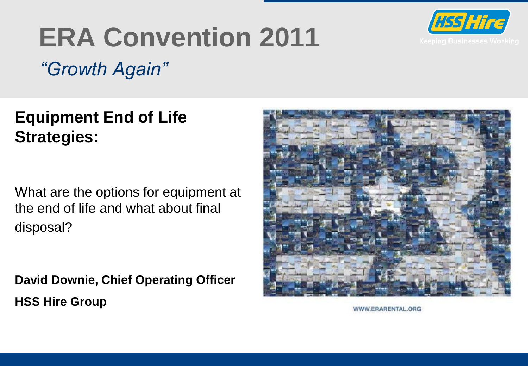

# **ERA Convention 2011**

*"Growth Again"*

**Equipment End of Life Strategies:** 

What are the options for equipment at the end of life and what about final disposal?

**David Downie, Chief Operating Officer HSS Hire Group**



WWW.ERARENTAL.ORG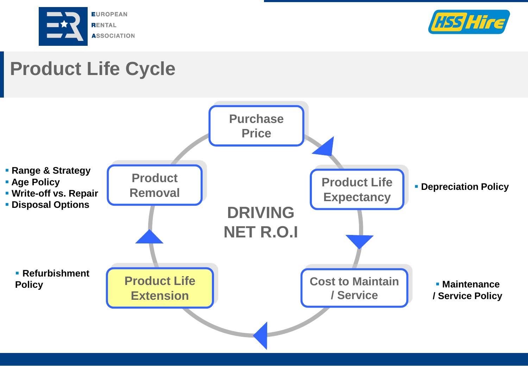



## **Product Life Cycle**

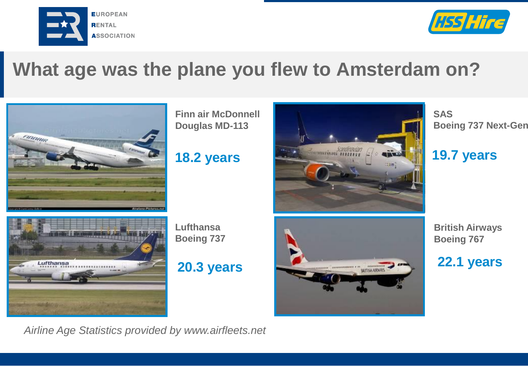



#### **What age was the plane you flew to Amsterdam on?**



**Finn air McDonnell Douglas MD-113**



**SAS Boeing 737 Next-Gen** 



**Lufthansa Boeing 737** 

**20.3 years** 



**British Airways Boeing 767**

**22.1 years** 

*Airline Age Statistics provided by www.airfleets.net*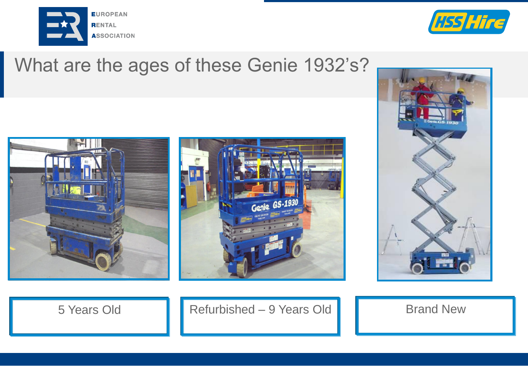



#### What are the ages of these Genie 1932's?







5 Years Old **Refurbished – 9 Years Old Brand New**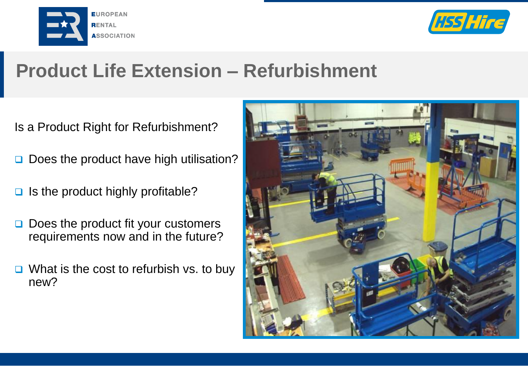



### **Product Life Extension – Refurbishment**

Is a Product Right for Refurbishment?

- Does the product have high utilisation?
- $\Box$  Is the product highly profitable?
- $\Box$  Does the product fit your customers requirements now and in the future?
- $\Box$  What is the cost to refurbish vs. to buy new?

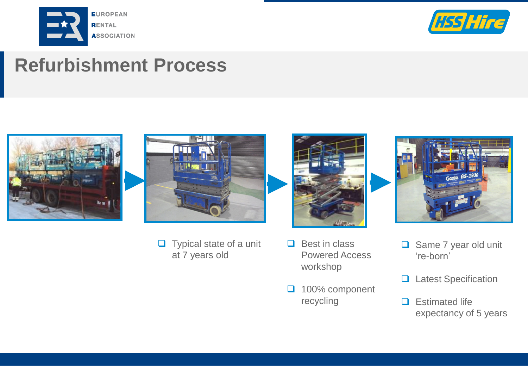



#### **Refurbishment Process**





 $\Box$  Typical state of a unit at 7 years old



- $\Box$  Best in class Powered Access workshop
- 100% component recycling



- Same 7 year old unit 're-born'
- **Q** Latest Specification
- $\Box$  Estimated life expectancy of 5 years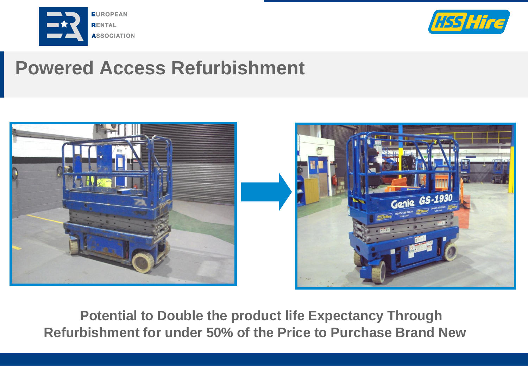



#### **Powered Access Refurbishment**





**Potential to Double the product life Expectancy Through Refurbishment for under 50% of the Price to Purchase Brand New**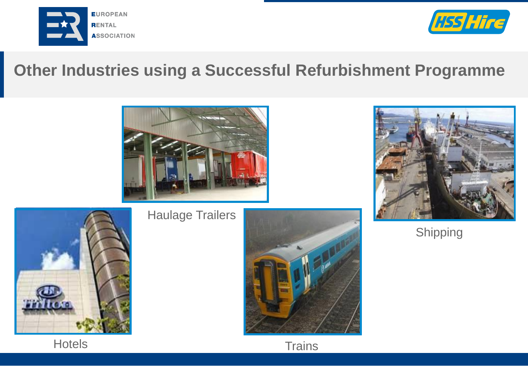



#### **Other Industries using a Successful Refurbishment Programme**



Haulage Trailers







Shipping



**Hotels**